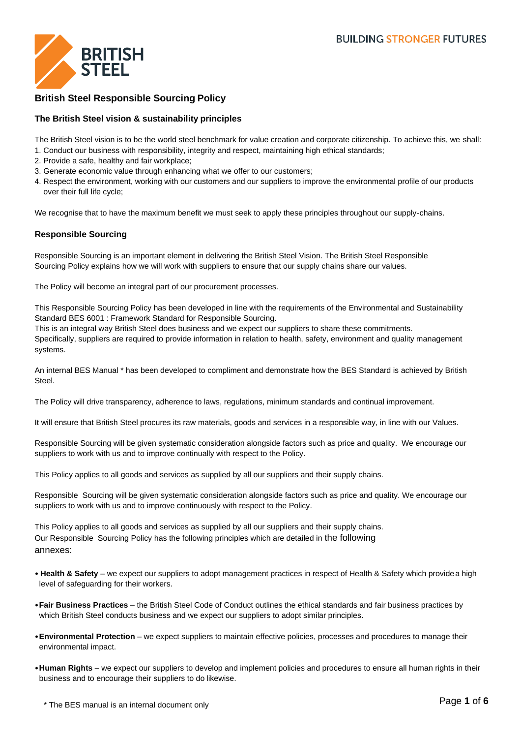

# **British Steel Responsible Sourcing Policy**

### **The British Steel vision & sustainability principles**

The British Steel vision is to be the world steel benchmark for value creation and corporate citizenship. To achieve this, we shall:

- 1. Conduct our business with responsibility, integrity and respect, maintaining high ethical standards;
- 2. Provide a safe, healthy and fair workplace;
- 3. Generate economic value through enhancing what we offer to our customers;
- 4. Respect the environment, working with our customers and our suppliers to improve the environmental profile of our products over their full life cycle;

We recognise that to have the maximum benefit we must seek to apply these principles throughout our supply-chains.

#### **Responsible Sourcing**

Responsible Sourcing is an important element in delivering the British Steel Vision. The British Steel Responsible Sourcing Policy explains how we will work with suppliers to ensure that our supply chains share our values.

The Policy will become an integral part of our procurement processes.

This Responsible Sourcing Policy has been developed in line with the requirements of the Environmental and Sustainability Standard BES 6001 : Framework Standard for Responsible Sourcing.

This is an integral way British Steel does business and we expect our suppliers to share these commitments. Specifically, suppliers are required to provide information in relation to health, safety, environment and quality management systems.

An internal BES Manual \* has been developed to compliment and demonstrate how the BES Standard is achieved by British Steel.

The Policy will drive transparency, adherence to laws, regulations, minimum standards and continual improvement.

It will ensure that British Steel procures its raw materials, goods and services in a responsible way, in line with our Values.

Responsible Sourcing will be given systematic consideration alongside factors such as price and quality. We encourage our suppliers to work with us and to improve continually with respect to the Policy.

This Policy applies to all goods and services as supplied by all our suppliers and their supply chains.

Responsible Sourcing will be given systematic consideration alongside factors such as price and quality. We encourage our suppliers to work with us and to improve continuously with respect to the Policy.

This Policy applies to all goods and services as supplied by all our suppliers and their supply chains. Our Responsible Sourcing Policy has the following principles which are detailed in the following annexes:

- **Health & Safety**  we expect our suppliers to adopt management practices in respect of Health & Safety which providea high level of safeguarding for their workers.
- •**Fair Business Practices**  the British Steel Code of Conduct outlines the ethical standards and fair business practices by which British Steel conducts business and we expect our suppliers to adopt similar principles.
- •**Environmental Protection**  we expect suppliers to maintain effective policies, processes and procedures to manage their environmental impact.
- •**Human Rights**  we expect our suppliers to develop and implement policies and procedures to ensure all human rights in their business and to encourage their suppliers to do likewise.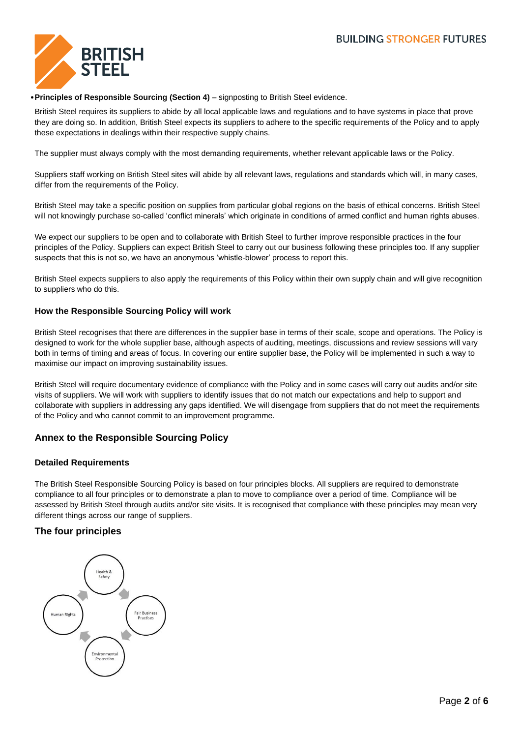

#### •**Principles of Responsible Sourcing (Section 4)** – signposting to British Steel evidence.

British Steel requires its suppliers to abide by all local applicable laws and regulations and to have systems in place that prove they are doing so. In addition, British Steel expects its suppliers to adhere to the specific requirements of the Policy and to apply these expectations in dealings within their respective supply chains.

The supplier must always comply with the most demanding requirements, whether relevant applicable laws or the Policy.

Suppliers staff working on British Steel sites will abide by all relevant laws, regulations and standards which will, in many cases, differ from the requirements of the Policy.

British Steel may take a specific position on supplies from particular global regions on the basis of ethical concerns. British Steel will not knowingly purchase so-called 'conflict minerals' which originate in conditions of armed conflict and human rights abuses.

We expect our suppliers to be open and to collaborate with British Steel to further improve responsible practices in the four principles of the Policy. Suppliers can expect British Steel to carry out our business following these principles too. If any supplier suspects that this is not so, we have an anonymous 'whistle-blower' process to report this.

British Steel expects suppliers to also apply the requirements of this Policy within their own supply chain and will give recognition to suppliers who do this.

#### **How the Responsible Sourcing Policy will work**

British Steel recognises that there are differences in the supplier base in terms of their scale, scope and operations. The Policy is designed to work for the whole supplier base, although aspects of auditing, meetings, discussions and review sessions will vary both in terms of timing and areas of focus. In covering our entire supplier base, the Policy will be implemented in such a way to maximise our impact on improving sustainability issues.

British Steel will require documentary evidence of compliance with the Policy and in some cases will carry out audits and/or site visits of suppliers. We will work with suppliers to identify issues that do not match our expectations and help to support and collaborate with suppliers in addressing any gaps identified. We will disengage from suppliers that do not meet the requirements of the Policy and who cannot commit to an improvement programme.

## **Annex to the Responsible Sourcing Policy**

#### **Detailed Requirements**

The British Steel Responsible Sourcing Policy is based on four principles blocks. All suppliers are required to demonstrate compliance to all four principles or to demonstrate a plan to move to compliance over a period of time. Compliance will be assessed by British Steel through audits and/or site visits. It is recognised that compliance with these principles may mean very different things across our range of suppliers.

### **The four principles**

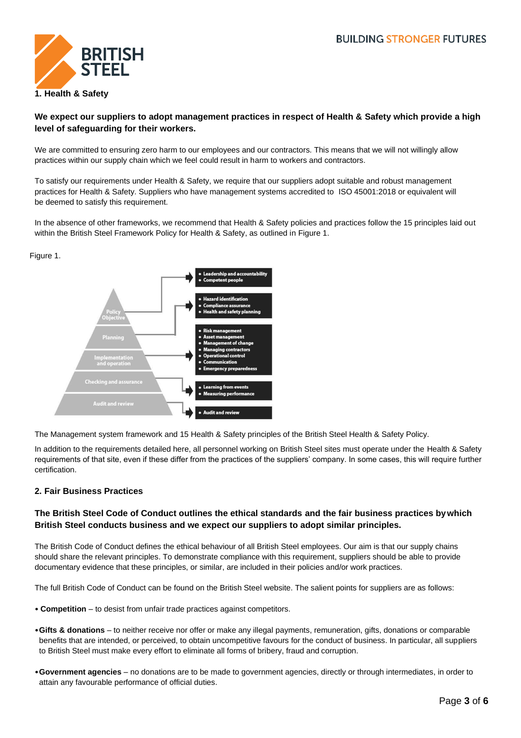

### **We expect our suppliers to adopt management practices in respect of Health & Safety which provide a high level of safeguarding for their workers.**

We are committed to ensuring zero harm to our employees and our contractors. This means that we will not willingly allow practices within our supply chain which we feel could result in harm to workers and contractors.

To satisfy our requirements under Health & Safety, we require that our suppliers adopt suitable and robust management practices for Health & Safety. Suppliers who have management systems accredited to ISO 45001:2018 or equivalent will be deemed to satisfy this requirement.

In the absence of other frameworks, we recommend that Health & Safety policies and practices follow the 15 principles laid out within the British Steel Framework Policy for Health & Safety, as outlined in Figure 1.

#### Figure 1.



The Management system framework and 15 Health & Safety principles of the British Steel Health & Safety Policy.

In addition to the requirements detailed here, all personnel working on British Steel sites must operate under the Health & Safety requirements of that site, even if these differ from the practices of the suppliers' company. In some cases, this will require further certification.

### **2. Fair Business Practices**

### **The British Steel Code of Conduct outlines the ethical standards and the fair business practices bywhich British Steel conducts business and we expect our suppliers to adopt similar principles.**

The British Code of Conduct defines the ethical behaviour of all British Steel employees. Our aim is that our supply chains should share the relevant principles. To demonstrate compliance with this requirement, suppliers should be able to provide documentary evidence that these principles, or similar, are included in their policies and/or work practices.

The full British Code of Conduct can be found on the British Steel website. The salient points for suppliers are as follows:

- **Competition**  to desist from unfair trade practices against competitors.
- •**Gifts & donations**  to neither receive nor offer or make any illegal payments, remuneration, gifts, donations or comparable benefits that are intended, or perceived, to obtain uncompetitive favours for the conduct of business. In particular, all suppliers to British Steel must make every effort to eliminate all forms of bribery, fraud and corruption.
- •**Government agencies**  no donations are to be made to government agencies, directly or through intermediates, in order to attain any favourable performance of official duties.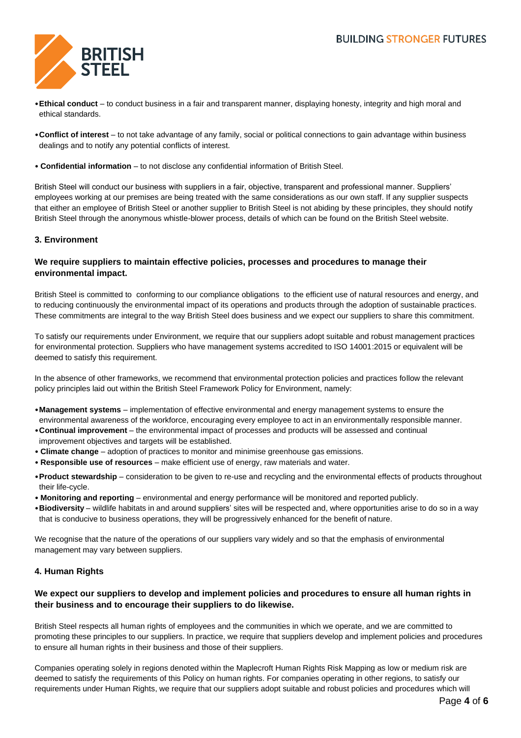

- •**Ethical conduct**  to conduct business in a fair and transparent manner, displaying honesty, integrity and high moral and ethical standards.
- •**Conflict of interest**  to not take advantage of any family, social or political connections to gain advantage within business dealings and to notify any potential conflicts of interest.
- **Confidential information**  to not disclose any confidential information of British Steel.

British Steel will conduct our business with suppliers in a fair, objective, transparent and professional manner. Suppliers' employees working at our premises are being treated with the same considerations as our own staff. If any supplier suspects that either an employee of British Steel or another supplier to British Steel is not abiding by these principles, they should notify British Steel through the anonymous whistle-blower process, details of which can be found on the British Steel website.

### **3. Environment**

### **We require suppliers to maintain effective policies, processes and procedures to manage their environmental impact.**

British Steel is committed to conforming to our compliance obligations to the efficient use of natural resources and energy, and to reducing continuously the environmental impact of its operations and products through the adoption of sustainable practices. These commitments are integral to the way British Steel does business and we expect our suppliers to share this commitment.

To satisfy our requirements under Environment, we require that our suppliers adopt suitable and robust management practices for environmental protection. Suppliers who have management systems accredited to ISO 14001:2015 or equivalent will be deemed to satisfy this requirement.

In the absence of other frameworks, we recommend that environmental protection policies and practices follow the relevant policy principles laid out within the British Steel Framework Policy for Environment, namely:

- •**Management systems**  implementation of effective environmental and energy management systems to ensure the environmental awareness of the workforce, encouraging every employee to act in an environmentally responsible manner.
- •**Continual improvement**  the environmental impact of processes and products will be assessed and continual improvement objectives and targets will be established.
- **Climate change**  adoption of practices to monitor and minimise greenhouse gas emissions.
- **Responsible use of resources**  make efficient use of energy, raw materials and water.
- •**Product stewardship**  consideration to be given to re-use and recycling and the environmental effects of products throughout their life-cycle.
- **Monitoring and reporting**  environmental and energy performance will be monitored and reported publicly.
- •**Biodiversity** wildlife habitats in and around suppliers' sites will be respected and, where opportunities arise to do so in a way that is conducive to business operations, they will be progressively enhanced for the benefit of nature.

We recognise that the nature of the operations of our suppliers vary widely and so that the emphasis of environmental management may vary between suppliers.

## **4. Human Rights**

### **We expect our suppliers to develop and implement policies and procedures to ensure all human rights in their business and to encourage their suppliers to do likewise.**

British Steel respects all human rights of employees and the communities in which we operate, and we are committed to promoting these principles to our suppliers. In practice, we require that suppliers develop and implement policies and procedures to ensure all human rights in their business and those of their suppliers.

Companies operating solely in regions denoted within the Maplecroft Human Rights Risk Mapping as low or medium risk are deemed to satisfy the requirements of this Policy on human rights. For companies operating in other regions, to satisfy our requirements under Human Rights, we require that our suppliers adopt suitable and robust policies and procedures which will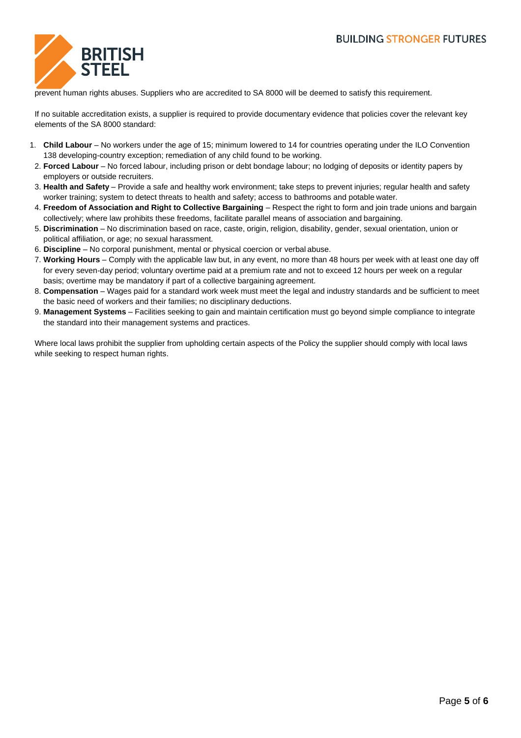

prevent human rights abuses. Suppliers who are accredited to SA 8000 will be deemed to satisfy this requirement.

If no suitable accreditation exists, a supplier is required to provide documentary evidence that policies cover the relevant key elements of the SA 8000 standard:

- 1. **Child Labour**  No workers under the age of 15; minimum lowered to 14 for countries operating under the ILO Convention 138 developing-country exception; remediation of any child found to be working.
- 2. **Forced Labour**  No forced labour, including prison or debt bondage labour; no lodging of deposits or identity papers by employers or outside recruiters.
- 3. **Health and Safety** Provide a safe and healthy work environment; take steps to prevent injuries; regular health and safety worker training; system to detect threats to health and safety; access to bathrooms and potable water.
- 4. **Freedom of Association and Right to Collective Bargaining** Respect the right to form and join trade unions and bargain collectively; where law prohibits these freedoms, facilitate parallel means of association and bargaining.
- 5. **Discrimination**  No discrimination based on race, caste, origin, religion, disability, gender, sexual orientation, union or political affiliation, or age; no sexual harassment.
- 6. **Discipline**  No corporal punishment, mental or physical coercion or verbal abuse.
- 7. **Working Hours**  Comply with the applicable law but, in any event, no more than 48 hours per week with at least one day off for every seven-day period; voluntary overtime paid at a premium rate and not to exceed 12 hours per week on a regular basis; overtime may be mandatory if part of a collective bargaining agreement.
- 8. **Compensation**  Wages paid for a standard work week must meet the legal and industry standards and be sufficient to meet the basic need of workers and their families; no disciplinary deductions.
- 9. **Management Systems**  Facilities seeking to gain and maintain certification must go beyond simple compliance to integrate the standard into their management systems and practices.

Where local laws prohibit the supplier from upholding certain aspects of the Policy the supplier should comply with local laws while seeking to respect human rights.